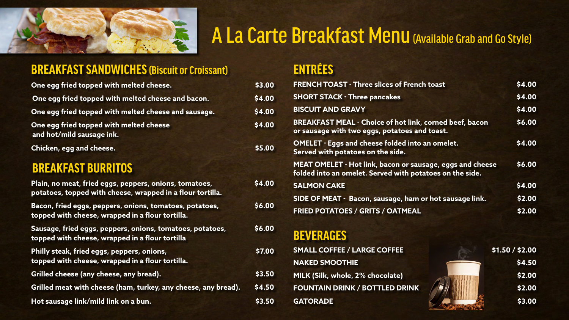| One egg fried topped with melted cheese.                                                                     | \$3.00 | <b>FRENCH TOAST - Three slices of French toast</b><br>\$4.00                                                              |                 |  |
|--------------------------------------------------------------------------------------------------------------|--------|---------------------------------------------------------------------------------------------------------------------------|-----------------|--|
| One egg fried topped with melted cheese and bacon.                                                           | \$4.00 | \$4.00<br><b>SHORT STACK - Three pancakes</b>                                                                             |                 |  |
| One egg fried topped with melted cheese and sausage.                                                         | \$4.00 | \$4.00<br><b>BISCUIT AND GRAVY</b>                                                                                        |                 |  |
| One egg fried topped with melted cheese<br>and hot/mild sausage ink.                                         | \$4.00 | \$6.00<br><b>BREAKFAST MEAL - Choice of hot link, corned beef, bacon</b><br>or sausage with two eggs, potatoes and toast. |                 |  |
| Chicken, egg and cheese.                                                                                     | \$5.00 | \$4.00<br><b>OMELET - Eggs and cheese folded into an omelet.</b><br>Served with potatoes on the side.                     |                 |  |
| <b>BREAKFAST BURRITOS</b>                                                                                    |        | MEAT OMELET - Hot link, bacon or sausage, eggs and cheese<br>folded into an omelet. Served with potatoes on the side.     | \$6.00          |  |
| Plain, no meat, fried eggs, peppers, onions, tomatoes,                                                       | \$4.00 | <b>SALMON CAKE</b>                                                                                                        |                 |  |
| potatoes, topped with cheese, wrapped in a flour tortilla.                                                   |        | SIDE OF MEAT - Bacon, sausage, ham or hot sausage link.                                                                   | \$2.00          |  |
| Bacon, fried eggs, peppers, onions, tomatoes, potatoes,<br>topped with cheese, wrapped in a flour tortilla.  | \$6.00 | <b>FRIED POTATOES / GRITS / OATMEAL</b>                                                                                   |                 |  |
| Sausage, fried eggs, peppers, onions, tomatoes, potatoes,<br>topped with cheese, wrapped in a flour tortilla | \$6.00 | <b>BEVERAGES</b>                                                                                                          |                 |  |
| Philly steak, fried eggs, peppers, onions,                                                                   | \$7.00 | <b>SMALL COFFEE / LARGE COFFEE</b>                                                                                        | \$1.50 / \$2.00 |  |
| topped with cheese, wrapped in a flour tortilla.                                                             |        | <b>NAKED SMOOTHIE</b>                                                                                                     | \$4.50          |  |
| Grilled cheese (any cheese, any bread).                                                                      | \$3.50 | MILK (Silk, whole, 2% chocolate)                                                                                          | \$2.00          |  |
| Grilled meat with cheese (ham, turkey, any cheese, any bread).                                               | \$4.50 | <b>FOUNTAIN DRINK / BOTTLED DRINK</b>                                                                                     | \$2.00          |  |
| Hot sausage link/mild link on a bun.                                                                         | \$3.50 | <b>GATORADE</b>                                                                                                           | \$3.00          |  |

|  | ENTREES |
|--|---------|
|  |         |
|  |         |

| 00 | <b>SMALL COFFEE / LARGE COFFEE</b>    | \$1.50 / \$2.00 |
|----|---------------------------------------|-----------------|
|    | <b>NAKED SMOOTHIE</b>                 | \$4.50          |
| 50 | MILK (Silk, whole, 2% chocolate)      | \$2.00          |
| 50 | <b>FOUNTAIN DRINK / BOTTLED DRINK</b> | \$2.00          |
| 50 | <b>GATORADE</b>                       | \$3.00          |
|    |                                       |                 |



# A La Carte Breakfast Menu (Available Grab and Go Style)

### **BREAKFAST SANDWICHES (Biscuit or Croissant)**